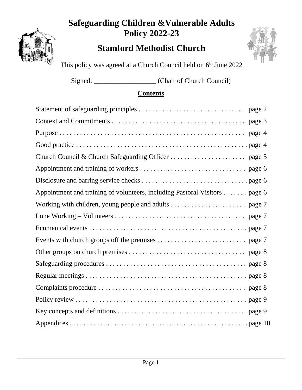## **Safeguarding Children &Vulnerable Adults Policy 2022-23**

## **Stamford Methodist Church**



This policy was agreed at a Church Council held on 6<sup>th</sup> June 2022

Signed: \_\_\_\_\_\_\_\_\_\_\_\_\_\_\_\_\_\_ (Chair of Church Council)

## **Contents**

| Appointment and training of volunteers, including Pastoral Visitors page 6 |
|----------------------------------------------------------------------------|
|                                                                            |
|                                                                            |
|                                                                            |
|                                                                            |
|                                                                            |
|                                                                            |
|                                                                            |
|                                                                            |
|                                                                            |
|                                                                            |
|                                                                            |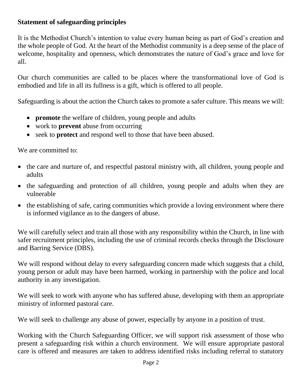#### **Statement of safeguarding principles**

It is the Methodist Church's intention to value every human being as part of God's creation and the whole people of God. At the heart of the Methodist community is a deep sense of the place of welcome, hospitality and openness, which demonstrates the nature of God's grace and love for all.

Our church communities are called to be places where the transformational love of God is embodied and life in all its fullness is a gift, which is offered to all people.

Safeguarding is about the action the Church takes to promote a safer culture. This means we will:

- **promote** the welfare of children, young people and adults
- work to **prevent** abuse from occurring
- seek to **protect** and respond well to those that have been abused.

We are committed to:

- the care and nurture of, and respectful pastoral ministry with, all children, young people and adults
- the safeguarding and protection of all children, young people and adults when they are vulnerable
- the establishing of safe, caring communities which provide a loving environment where there is informed vigilance as to the dangers of abuse.

We will carefully select and train all those with any responsibility within the Church, in line with safer recruitment principles, including the use of criminal records checks through the Disclosure and Barring Service (DBS).

We will respond without delay to every safeguarding concern made which suggests that a child, young person or adult may have been harmed, working in partnership with the police and local authority in any investigation.

We will seek to work with anyone who has suffered abuse, developing with them an appropriate ministry of informed pastoral care.

We will seek to challenge any abuse of power, especially by anyone in a position of trust.

Working with the Church Safeguarding Officer, we will support risk assessment of those who present a safeguarding risk within a church environment. We will ensure appropriate pastoral care is offered and measures are taken to address identified risks including referral to statutory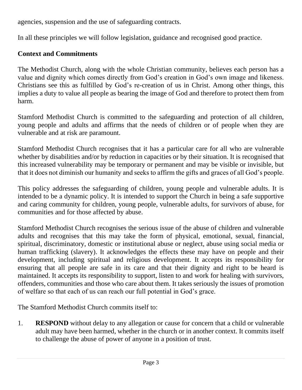agencies, suspension and the use of safeguarding contracts.

In all these principles we will follow legislation, guidance and recognised good practice.

### **Context and Commitments**

The Methodist Church, along with the whole Christian community, believes each person has a value and dignity which comes directly from God's creation in God's own image and likeness. Christians see this as fulfilled by God's re-creation of us in Christ. Among other things, this implies a duty to value all people as bearing the image of God and therefore to protect them from harm.

Stamford Methodist Church is committed to the safeguarding and protection of all children, young people and adults and affirms that the needs of children or of people when they are vulnerable and at risk are paramount.

Stamford Methodist Church recognises that it has a particular care for all who are vulnerable whether by disabilities and/or by reduction in capacities or by their situation. It is recognised that this increased vulnerability may be temporary or permanent and may be visible or invisible, but that it does not diminish our humanity and seeks to affirm the gifts and graces of all God's people.

This policy addresses the safeguarding of children, young people and vulnerable adults. It is intended to be a dynamic policy. It is intended to support the Church in being a safe supportive and caring community for children, young people, vulnerable adults, for survivors of abuse, for communities and for those affected by abuse.

Stamford Methodist Church recognises the serious issue of the abuse of children and vulnerable adults and recognises that this may take the form of physical, emotional, sexual, financial, spiritual, discriminatory, domestic or institutional abuse or neglect, abuse using social media or human trafficking (slavery). It acknowledges the effects these may have on people and their development, including spiritual and religious development. It accepts its responsibility for ensuring that all people are safe in its care and that their dignity and right to be heard is maintained. It accepts its responsibility to support, listen to and work for healing with survivors, offenders, communities and those who care about them. It takes seriously the issues of promotion of welfare so that each of us can reach our full potential in God's grace.

The Stamford Methodist Church commits itself to:

1. **RESPOND** without delay to any allegation or cause for concern that a child or vulnerable adult may have been harmed, whether in the church or in another context. It commits itself to challenge the abuse of power of anyone in a position of trust.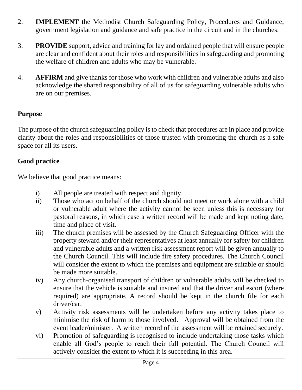- 2. **IMPLEMENT** the Methodist Church Safeguarding Policy, Procedures and Guidance; government legislation and guidance and safe practice in the circuit and in the churches.
- 3. **PROVIDE** support, advice and training for lay and ordained people that will ensure people are clear and confident about their roles and responsibilities in safeguarding and promoting the welfare of children and adults who may be vulnerable.
- 4. **AFFIRM** and give thanks for those who work with children and vulnerable adults and also acknowledge the shared responsibility of all of us for safeguarding vulnerable adults who are on our premises.

#### **Purpose**

The purpose of the church safeguarding policy is to check that procedures are in place and provide clarity about the roles and responsibilities of those trusted with promoting the church as a safe space for all its users.

#### **Good practice**

We believe that good practice means:

- i) All people are treated with respect and dignity.
- ii) Those who act on behalf of the church should not meet or work alone with a child or vulnerable adult where the activity cannot be seen unless this is necessary for pastoral reasons, in which case a written record will be made and kept noting date, time and place of visit.
- iii) The church premises will be assessed by the Church Safeguarding Officer with the property steward and/or their representatives at least annually for safety for children and vulnerable adults and a written risk assessment report will be given annually to the Church Council. This will include fire safety procedures. The Church Council will consider the extent to which the premises and equipment are suitable or should be made more suitable.
- iv) Any church-organised transport of children or vulnerable adults will be checked to ensure that the vehicle is suitable and insured and that the driver and escort (where required) are appropriate. A record should be kept in the church file for each driver/car.
- v) Activity risk assessments will be undertaken before any activity takes place to minimise the risk of harm to those involved. Approval will be obtained from the event leader/minister. A written record of the assessment will be retained securely.
- vi) Promotion of safeguarding is recognised to include undertaking those tasks which enable all God's people to reach their full potential. The Church Council will actively consider the extent to which it is succeeding in this area.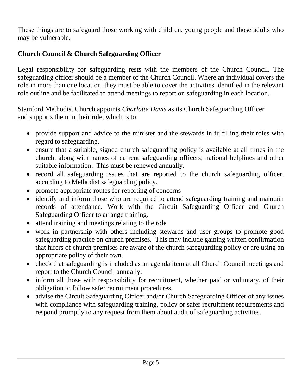These things are to safeguard those working with children, young people and those adults who may be vulnerable.

### **Church Council & Church Safeguarding Officer**

Legal responsibility for safeguarding rests with the members of the Church Council. The safeguarding officer should be a member of the Church Council. Where an individual covers the role in more than one location, they must be able to cover the activities identified in the relevant role outline and be facilitated to attend meetings to report on safeguarding in each location.

Stamford Methodist Church appoints *Charlotte Davis* as its Church Safeguarding Officer and supports them in their role, which is to:

- provide support and advice to the minister and the stewards in fulfilling their roles with regard to safeguarding.
- ensure that a suitable, signed church safeguarding policy is available at all times in the church, along with names of current safeguarding officers, national helplines and other suitable information. This must be renewed annually.
- record all safeguarding issues that are reported to the church safeguarding officer, according to Methodist safeguarding policy.
- promote appropriate routes for reporting of concerns
- identify and inform those who are required to attend safeguarding training and maintain records of attendance. Work with the Circuit Safeguarding Officer and Church Safeguarding Officer to arrange training.
- attend training and meetings relating to the role
- work in partnership with others including stewards and user groups to promote good safeguarding practice on church premises. This may include gaining written confirmation that hirers of church premises are aware of the church safeguarding policy or are using an appropriate policy of their own.
- check that safeguarding is included as an agenda item at all Church Council meetings and report to the Church Council annually.
- inform all those with responsibility for recruitment, whether paid or voluntary, of their obligation to follow safer recruitment procedures.
- advise the Circuit Safeguarding Officer and/or Church Safeguarding Officer of any issues with compliance with safeguarding training, policy or safer recruitment requirements and respond promptly to any request from them about audit of safeguarding activities.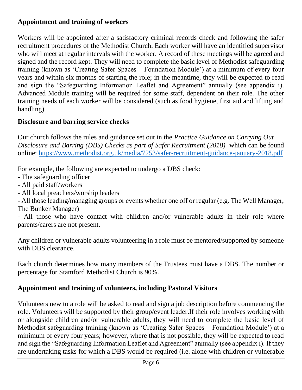#### **Appointment and training of workers**

Workers will be appointed after a satisfactory criminal records check and following the safer recruitment procedures of the Methodist Church. Each worker will have an identified supervisor who will meet at regular intervals with the worker. A record of these meetings will be agreed and signed and the record kept. They will need to complete the basic level of Methodist safeguarding training (known as 'Creating Safer Spaces – Foundation Module') at a minimum of every four years and within six months of starting the role; in the meantime, they will be expected to read and sign the "Safeguarding Information Leaflet and Agreement" annually (see appendix i). Advanced Module training will be required for some staff, dependent on their role. The other training needs of each worker will be considered (such as food hygiene, first aid and lifting and handling).

### **Disclosure and barring service checks**

Our church follows the rules and guidance set out in the *Practice Guidance on Carrying Out Disclosure and Barring (DBS) Checks as part of Safer Recruitment (2018)* which can be found online:<https://www.methodist.org.uk/media/7253/safer-recruitment-guidance-january-2018.pdf>

For example, the following are expected to undergo a DBS check:

- The safeguarding officer
- All paid staff/workers
- All local preachers/worship leaders

- All those leading/managing groups or events whether one off or regular (e.g. The Well Manager, The Bunker Manager)

- All those who have contact with children and/or vulnerable adults in their role where parents/carers are not present.

Any children or vulnerable adults volunteering in a role must be mentored/supported by someone with DBS clearance.

Each church determines how many members of the Trustees must have a DBS. The number or percentage for Stamford Methodist Church is 90%.

### **Appointment and training of volunteers, including Pastoral Visitors**

Volunteers new to a role will be asked to read and sign a job description before commencing the role. Volunteers will be supported by their group/event leader.If their role involves working with or alongside children and/or vulnerable adults, they will need to complete the basic level of Methodist safeguarding training (known as 'Creating Safer Spaces – Foundation Module') at a minimum of every four years; however, where that is not possible, they will be expected to read and sign the "Safeguarding Information Leaflet and Agreement" annually (see appendix i). If they are undertaking tasks for which a DBS would be required (i.e. alone with children or vulnerable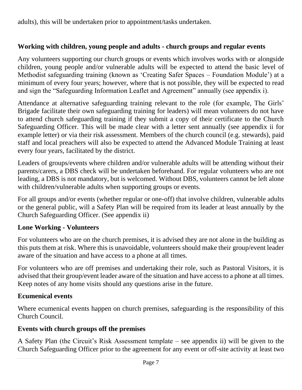adults), this will be undertaken prior to appointment/tasks undertaken.

### **Working with children, young people and adults - church groups and regular events**

Any volunteers supporting our church groups or events which involves works with or alongside children, young people and/or vulnerable adults will be expected to attend the basic level of Methodist safeguarding training (known as 'Creating Safer Spaces – Foundation Module') at a minimum of every four years; however, where that is not possible, they will be expected to read and sign the "Safeguarding Information Leaflet and Agreement" annually (see appendix i).

Attendance at alternative safeguarding training relevant to the role (for example, The Girls' Brigade facilitate their own safeguarding training for leaders) will mean volunteers do not have to attend church safeguarding training if they submit a copy of their certificate to the Church Safeguarding Officer. This will be made clear with a letter sent annually (see appendix ii for example letter) or via their risk assessment. Members of the church council (e.g. stewards), paid staff and local preachers will also be expected to attend the Advanced Module Training at least every four years, facilitated by the district.

Leaders of groups/events where children and/or vulnerable adults will be attending without their parents/carers, a DBS check will be undertaken beforehand. For regular volunteers who are not leading, a DBS is not mandatory, but is welcomed. Without DBS, volunteers cannot be left alone with children/vulnerable adults when supporting groups or events.

For all groups and/or events (whether regular or one-off) that involve children, vulnerable adults or the general public, will a Safety Plan will be required from its leader at least annually by the Church Safeguarding Officer. (See appendix ii)

#### **Lone Working - Volunteers**

For volunteers who are on the church premises, it is advised they are not alone in the building as this puts them at risk. Where this is unavoidable, volunteers should make their group/event leader aware of the situation and have access to a phone at all times.

For volunteers who are off premises and undertaking their role, such as Pastoral Visitors, it is advised that their group/event leader aware of the situation and have access to a phone at all times. Keep notes of any home visits should any questions arise in the future.

#### **Ecumenical events**

Where ecumenical events happen on church premises, safeguarding is the responsibility of this Church Council.

### **Events with church groups off the premises**

A Safety Plan (the Circuit's Risk Assessment template – see appendix ii) will be given to the Church Safeguarding Officer prior to the agreement for any event or off-site activity at least two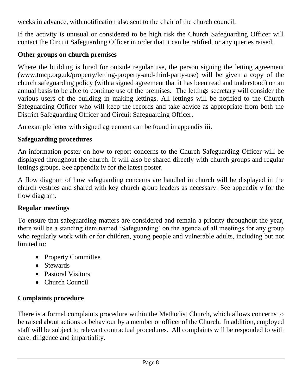weeks in advance, with notification also sent to the chair of the church council.

If the activity is unusual or considered to be high risk the Church Safeguarding Officer will contact the Circuit Safeguarding Officer in order that it can be ratified, or any queries raised.

### **Other groups on church premises**

Where the building is hired for outside regular use, the person signing the letting agreement [\(www.tmcp.org.uk/property/letting-property-and-third-party-use\)](http://www.tmcp.org.uk/property/letting-property-and-third-party-use) will be given a copy of the church safeguarding policy (with a signed agreement that it has been read and understood) on an annual basis to be able to continue use of the premises. The lettings secretary will consider the various users of the building in making lettings. All lettings will be notified to the Church Safeguarding Officer who will keep the records and take advice as appropriate from both the District Safeguarding Officer and Circuit Safeguarding Officer.

An example letter with signed agreement can be found in appendix iii.

### **Safeguarding procedures**

An information poster on how to report concerns to the Church Safeguarding Officer will be displayed throughout the church. It will also be shared directly with church groups and regular lettings groups. See appendix iv for the latest poster.

A flow diagram of how safeguarding concerns are handled in church will be displayed in the church vestries and shared with key church group leaders as necessary. See appendix v for the flow diagram.

### **Regular meetings**

To ensure that safeguarding matters are considered and remain a priority throughout the year, there will be a standing item named 'Safeguarding' on the agenda of all meetings for any group who regularly work with or for children, young people and vulnerable adults, including but not limited to:

- Property Committee
- Stewards
- Pastoral Visitors
- Church Council

## **Complaints procedure**

There is a formal complaints procedure within the Methodist Church, which allows concerns to be raised about actions or behaviour by a member or officer of the Church. In addition, employed staff will be subject to relevant contractual procedures. All complaints will be responded to with care, diligence and impartiality.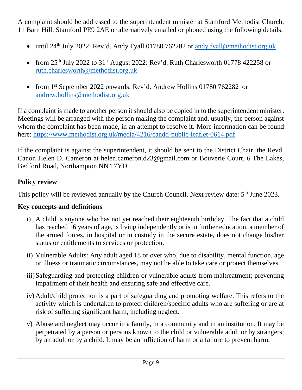A complaint should be addressed to the superintendent minister at Stamford Methodist Church, 11 Barn Hill, Stamford PE9 2AE or alternatively emailed or phoned using the following details:

- until 24<sup>th</sup> July 2022: Rev'd. Andy Fyall 01780 762282 or [andy.fyall@methodist.org.uk](mailto:andy.fyall@methodist.org.uk)
- from 25<sup>th</sup> July 2022 to 31<sup>st</sup> August 2022: Rev'd. Ruth Charlesworth 01778 422258 or [ruth.charlesworth@methodist.org.uk](mailto:ruth.charlesworth@methodist.org.uk)
- from 1<sup>st</sup> September 2022 onwards: Rev'd. Andrew Hollins 01780 762282 or [andrew.hollins@methodist.org.uk](mailto:andrew.hollins@methodist.org.uk)

If a complaint is made to another person it should also be copied in to the superintendent minister. Meetings will be arranged with the person making the complaint and, usually, the person against whom the complaint has been made, in an attempt to resolve it. More information can be found here:<https://www.methodist.org.uk/media/4216/candd-public-leaflet-0614.pdf>

If the complaint is against the superintendent, it should be sent to the District Chair, the Revd. Canon Helen D. Cameron at helen.cameron.d23@gmail.com or Bouverie Court, 6 The Lakes, Bedford Road, Northampton NN4 7YD.

#### **Policy review**

This policy will be reviewed annually by the Church Council. Next review date: 5<sup>th</sup> June 2023.

### **Key concepts and definitions**

- i) A child is anyone who has not yet reached their eighteenth birthday. The fact that a child has reached 16 years of age, is living independently or is in further education, a member of the armed forces, in hospital or in custody in the secure estate, does not change his/her status or entitlements to services or protection.
- ii) Vulnerable Adults: Any adult aged 18 or over who, due to disability, mental function, age or illness or traumatic circumstances, may not be able to take care or protect themselves.
- iii)Safeguarding and protecting children or vulnerable adults from maltreatment; preventing impairment of their health and ensuring safe and effective care.
- iv) Adult/child protection is a part of safeguarding and promoting welfare. This refers to the activity which is undertaken to protect children/specific adults who are suffering or are at risk of suffering significant harm, including neglect.
- v) Abuse and neglect may occur in a family, in a community and in an institution. It may be perpetrated by a person or persons known to the child or vulnerable adult or by strangers; by an adult or by a child. It may be an infliction of harm or a failure to prevent harm.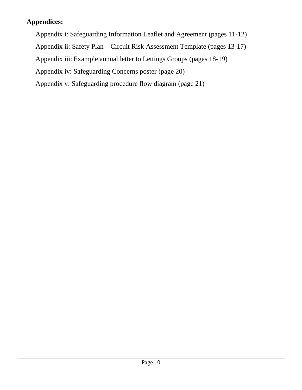#### **Appendices:**

- Appendix i: Safeguarding Information Leaflet and Agreement (pages 11-12)
- Appendix ii: Safety Plan Circuit Risk Assessment Template (pages 13-17)
- Appendix iii: Example annual letter to Lettings Groups (pages 18-19)
- Appendix iv: Safeguarding Concerns poster (page 20)
- Appendix v: Safeguarding procedure flow diagram (page 21)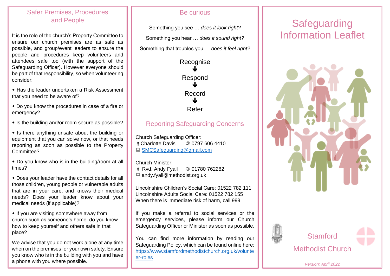#### Safer Premises, Procedures and People

It is the role of the church's Property Committee to ensure our church premises are as safe as possible, and group/event leaders to ensure the people and procedures keep volunteers and attendees safe too (with the support of the Safeguarding Officer). However everyone should be part of that responsibility, so when volunteering consider:

 Has the leader undertaken a Risk Assessment that you need to be aware of?

 Do you know the procedures in case of a fire or emergency?

 $\cdot$  Is the building and/or room secure as possible?

 $\cdot$  Is there anything unsafe about the building or equipment that you can solve now, or that needs reporting as soon as possible to the Property Committee?

 Do you know who is in the building/room at all times?

 Does your leader have the contact details for all those children, young people or vulnerable adults that are in your care, and knows their medical needs? Does your leader know about your medical needs (if applicable)?

• If you are visiting somewhere away from church such as someone's home, do you know how to keep yourself and others safe in that place?

We advise that you do not work alone at any time when on the premises for your own safety. Ensure you know who is in the building with you and have a phone with you where possible.

#### Be curious

Something you see … *does it look right?* Something you hear … *does it sound right?* Something that troubles you … *does it feel right?*



#### Reporting Safeguarding Concerns

Church Safeguarding Officer:<br> **Charlotte Davis** (2007976064410) *Charlotte Davis* ■ SMCSafequarding@gmail.com

Church Minister:

**i** Ryd. Andy Fyall 0 01780 762282 ■ andy.fyall@methodist.org.uk

Lincolnshire Children's Social Care: 01522 782 111 Lincolnshire Adults Social Care: 01522 782 155 When there is immediate risk of harm, call 999.

If you make a referral to social services or the emergency services, please inform our Church Safeguarding Officer or Minister as soon as possible.

[https://www.stamfordmethodistchurch.org.uk/volunte](https://www.stamfordmethodistchurch.org.uk/volunteer-roles) You can find more information by reading our Safeguarding Policy, which can be found online here: [er-roles](https://www.stamfordmethodistchurch.org.uk/volunteer-roles)

# **Safeguarding** Information Leaflet





**Stamford** Methodist Church

*Version: April 2022*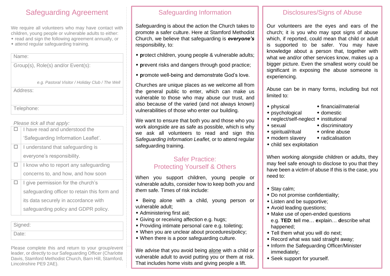## Safeguarding Agreement

We require all volunteers who may have contact with children, young people or vulnerable adults to either: read and sign the following agreement annually, or  $*$  attend regular safeguarding training.

#### Name:

Group(s), Role(s) and/or Event(s):

|  |  | e.g. Pastoral Visitor / Holiday Club / The Well |  |
|--|--|-------------------------------------------------|--|
|--|--|-------------------------------------------------|--|

Address:

Telephone:

#### *Please tick all that apply:*

| I have read and understood the               |
|----------------------------------------------|
| 'Safeguarding Information Leaflet'.          |
| I understand that safeguarding is            |
| everyone's responsibility.                   |
| I know who to report any safeguarding        |
| concerns to, and how, and how soon           |
| I give permission for the church's           |
| safeguarding officer to retain this form and |
| its data securely in accordance with         |
| safeguarding policy and GDPR policy.         |
|                                              |

Signed: Date:

Please complete this and return to your group/event leader, or directly to our Safeguarding Officer (Charlotte Davis, Stamford Methodist Church, Barn Hill, Stamford, Lincolnshire PE9 2AE).

### Safeguarding Information

Safeguarding is about the action the Church takes to promote a safer culture. Here at Stamford Methodist Church, we believe that safeguarding is *everyone's* responsibility, to:

- **p**rotect children, young people & vulnerable adults;
- **p**revent risks and dangers through good practice;
- **p**romote well-being and demonstrate God's love.

Churches are unique places as we welcome all from the general public to enter, which can make us vulnerable to those who may abuse our trust, and also because of the varied (and not always known) vulnerabilities of those who enter our building.

We want to ensure that both you and those who you work alongside are as safe as possible, which is why we ask all volunteers to read and sign this S*afeguarding Information Leaflet*, or to attend regular safeguarding training.

#### Safer Practice: Protecting Yourself & Others

When you support children, young people or vulnerable adults, consider how to keep both *you* and *them* safe. Times of risk include:

- Being alone with a child, young person or vulnerable adult;
- Administering first aid;
- Giving or receiving affection e.g. hugs;
- Providing intimate personal care e.g. toileting;
- When you are unclear about procedures/policy;
- When there is a poor safeguarding culture.

We advise that you avoid being alone with a child or vulnerable adult to avoid putting you or them at risk. That includes home visits and giving people a lift.

### Disclosures/Signs of Abuse

Our volunteers are the eyes and ears of the church; it is you who may spot signs of abuse which, if reported, could mean that child or adult is supported to be safer. You may have knowledge about a person that, together with what we and/or other services know, makes up a bigger picture. Even the smallest worry could be significant in exposing the abuse someone is experiencing.

Abuse can be in many forms, including but not limited to:

- physical financial/material
- $\bullet$  psychological  $\bullet$  domestic
- $\bullet$  neglect/self-neglect  $\bullet$  institutional
- sexual discriminatory
- $\bullet$  spiritual/ritual  $\bullet$  online abuse
- 
- modern slavery radicalisation
- child sex exploitation

When working alongside children or adults, they may feel safe enough to disclose to you that they have been a victim of abuse If this is the case, you need to:

- ◆ Stay calm;
- Do not promise confidentiality;
- Listen and be supportive;
- Avoid leading questions;
- Make use of open-ended questions e.g. **TED**: **t**ell me… **e**xplain… **d**escribe what happened;
- Tell them what you will do next;
- Record what was said straight away;
- Inform the Safeguarding Officer/Minister immediately;
- Seek support for yourself.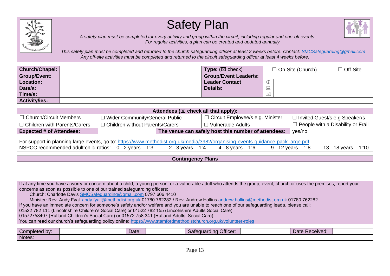





*A safety plan must be completed for every activity and group within the circuit, including regular and one-off events. For regular activities, a plan can be created and updated annually.* 

*This safety plan must be completed and returned to the church safeguarding officer at least 2 weeks before. Contact: [SMCSafeguarding@gmail.com](mailto:SMCSafeguarding@gmail.com) Any off-site activities must be completed and returned to the circuit safeguarding officer at least 4 weeks before.* 

| Church/Chapel:       | <b>Type:</b> $(\boxtimes$ check) | $\Box$ On-Site (Church) | □ Off-Site |
|----------------------|----------------------------------|-------------------------|------------|
| <b>Group/Event:</b>  | <b>Group/Event Leader/s:</b>     |                         |            |
| Location:            | <b>Leader Contact</b>            | Œ                       |            |
| Date/s:              | <b>Details:</b>                  |                         |            |
| Time/s:              |                                  |                         |            |
| <b>Activity/ies:</b> |                                  |                         |            |

| Attendees ( $\boxtimes$ check all that apply): |                                   |                                                     |                                          |  |  |  |  |  |
|------------------------------------------------|-----------------------------------|-----------------------------------------------------|------------------------------------------|--|--|--|--|--|
| □ Church/Circuit Members                       | □ Wider Community/General Public  | $\Box$ Circuit Employee/s e.g. Minister             | □ Invited Guest/s e.g Speaker/s          |  |  |  |  |  |
| $\vert$ $\Box$ Children with Parents/Carers    | □ Children without Parents/Carers | □ Vulnerable Adults                                 | $\Box$ People with a Disability or Frail |  |  |  |  |  |
| <b>Expected # of Attendees:</b>                |                                   | The venue can safely host this number of attendees: | yes/no                                   |  |  |  |  |  |

| For support in planning large events, go to: https://www.methodist.org.uk/media/3982/organising-events-guidance-pack-large.pdf |  |                                                                             |  |
|--------------------------------------------------------------------------------------------------------------------------------|--|-----------------------------------------------------------------------------|--|
| NSPCC recommended adult:child ratios: 0 - 2 years – 1:3                                                                        |  | 2 - 3 years – 1:4 4 - 8 years – 1:6 9 - 12 years – 1:8 13 - 18 years – 1:10 |  |

#### **Contingency Plans**

If at any time you have a worry or concern about a child, a young person, or a vulnerable adult who attends the group, event, church or uses the premises, report your concerns as soon as possible to one of our trained safeguarding officers:

Church: Charlotte Davis [SMCSafeguarding@gmail.com](mailto:SMCSafeguarding@gmail.com) 0797 606 4410

Minister: Rev. Andy Fyall [andy.fyall@methodist.org.uk](mailto:andy.fyall@methodist.org.uk) 01780 762282 / Rev. Andrew Hollins [andrew.hollins@methodist.org.uk](mailto:andrew.hollins@methodist.org.uk) 01780 762282

If you have an immediate concern for someone's safety and/or welfare and you are unable to reach one of our safeguarding leads, please call:

01522 782 111 (Lincolnshire Children's Social Care) or 01522 782 155 (Lincolnshire Adults Social Care)

01572758407 (Rutland Children's Social Care) or 01572 758 341 (Rutland Adults' Social Care)

You can read our church's safeguarding policy online:<https://www.stamfordmethodistchurch.org.uk/volunteer-roles>

| Completed by: | Date: | Officer<br><b>Jardino</b> | Received:<br>υd |  |
|---------------|-------|---------------------------|-----------------|--|
| Notes:        |       |                           |                 |  |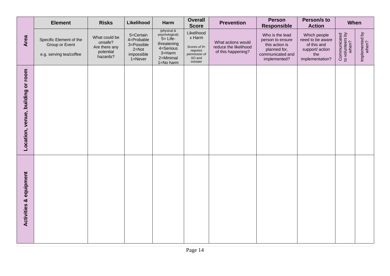|                                      | <b>Element</b>                                                       | <b>Risks</b>                                                       | Likelihood                                                                      | Harm                                                                                                         | <b>Overall</b><br><b>Score</b>                                                          | <b>Prevention</b>                                                 | <b>Person</b><br><b>Responsible</b>                                                                       | Person/s to<br><b>Action</b>                                                                 | When                                      |                         |
|--------------------------------------|----------------------------------------------------------------------|--------------------------------------------------------------------|---------------------------------------------------------------------------------|--------------------------------------------------------------------------------------------------------------|-----------------------------------------------------------------------------------------|-------------------------------------------------------------------|-----------------------------------------------------------------------------------------------------------|----------------------------------------------------------------------------------------------|-------------------------------------------|-------------------------|
| Area                                 | Specific Element of the<br>Group or Event<br>e.g. serving tea/coffee | What could be<br>unsafe?<br>Are there any<br>potential<br>hazards? | 5=Certain<br>4=Probable<br>3=Possible<br>$2 = Not$<br>impossible<br>$1 =$ Never | (physical &<br>psychological)<br>$5 =$ Life-<br>threatening<br>4=Serious<br>3=Harm<br>2=Minimal<br>1=No harm | Likelihood<br>x Harm<br>Scores of 9+<br>requires<br>permission of<br>SO and<br>minister | What actions would<br>reduce the likelihood<br>of this happening? | Who is the lead<br>person to ensure<br>this action is<br>planned for,<br>communicated and<br>implemented? | Which people<br>need to be aware<br>of this and<br>support/ action<br>the<br>implementation? | Communicated<br>to volunteers by<br>when? | Implemented by<br>when? |
| Location, venue, building or room    |                                                                      |                                                                    |                                                                                 |                                                                                                              |                                                                                         |                                                                   |                                                                                                           |                                                                                              |                                           |                         |
| equipment<br><b>Activities &amp;</b> |                                                                      |                                                                    |                                                                                 |                                                                                                              |                                                                                         |                                                                   |                                                                                                           |                                                                                              |                                           |                         |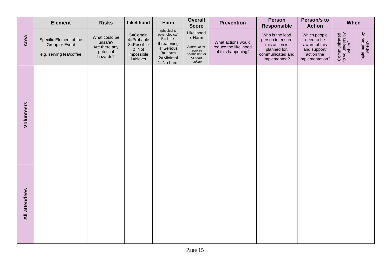|               | <b>Element</b>                                                       | <b>Risks</b>                                                       | Likelihood                                                                      | Harm                                                                                                             | <b>Overall</b><br><b>Score</b>                                                          | <b>Prevention</b>                                                 | <b>Person</b><br><b>Responsible</b>                                                                       | Person/s to<br><b>Action</b>                                                                 | When                                      |                         |
|---------------|----------------------------------------------------------------------|--------------------------------------------------------------------|---------------------------------------------------------------------------------|------------------------------------------------------------------------------------------------------------------|-----------------------------------------------------------------------------------------|-------------------------------------------------------------------|-----------------------------------------------------------------------------------------------------------|----------------------------------------------------------------------------------------------|-------------------------------------------|-------------------------|
| Area          | Specific Element of the<br>Group or Event<br>e.g. serving tea/coffee | What could be<br>unsafe?<br>Are there any<br>potential<br>hazards? | 5=Certain<br>4=Probable<br>3=Possible<br>$2 = Not$<br>impossible<br>$1 =$ Never | (physical &<br>psychological)<br>$5 =$ Life-<br>threatening<br>4=Serious<br>$3 =$ Harm<br>2=Minimal<br>1=No harm | Likelihood<br>x Harm<br>Scores of 9+<br>requires<br>permission of<br>SO and<br>minister | What actions would<br>reduce the likelihood<br>of this happening? | Who is the lead<br>person to ensure<br>this action is<br>planned for,<br>communicated and<br>implemented? | Which people<br>need to be<br>aware of this<br>and support/<br>action the<br>implementation? | Communicated<br>to volunteers by<br>when? | Implemented by<br>when? |
| Volunteers    |                                                                      |                                                                    |                                                                                 |                                                                                                                  |                                                                                         |                                                                   |                                                                                                           |                                                                                              |                                           |                         |
| All attendees |                                                                      |                                                                    |                                                                                 |                                                                                                                  |                                                                                         |                                                                   |                                                                                                           |                                                                                              |                                           |                         |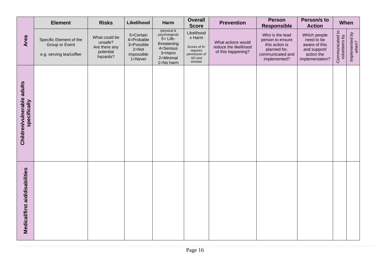|                                            | <b>Element</b>                                                       | <b>Risks</b>                                                       | Likelihood                                                                      | Harm                                                                                                         | <b>Overall</b><br><b>Score</b>                                                          | <b>Prevention</b>                                                 | <b>Person</b><br><b>Responsible</b>                                                                       | Person/s to<br><b>Action</b>                                                                 | When                             |                         |
|--------------------------------------------|----------------------------------------------------------------------|--------------------------------------------------------------------|---------------------------------------------------------------------------------|--------------------------------------------------------------------------------------------------------------|-----------------------------------------------------------------------------------------|-------------------------------------------------------------------|-----------------------------------------------------------------------------------------------------------|----------------------------------------------------------------------------------------------|----------------------------------|-------------------------|
| Area                                       | Specific Element of the<br>Group or Event<br>e.g. serving tea/coffee | What could be<br>unsafe?<br>Are there any<br>potential<br>hazards? | 5=Certain<br>4=Probable<br>3=Possible<br>$2 = Not$<br>impossible<br>$1 =$ Never | (physical &<br>psychological)<br>$5 =$ Life-<br>threatening<br>4=Serious<br>3=Harm<br>2=Minimal<br>1=No harm | Likelihood<br>x Harm<br>Scores of 9+<br>requires<br>permission of<br>SO and<br>minister | What actions would<br>reduce the likelihood<br>of this happening? | Who is the lead<br>person to ensure<br>this action is<br>planned for,<br>communicated and<br>implemented? | Which people<br>need to be<br>aware of this<br>and support/<br>action the<br>implementation? | Communicated to<br>volunteers by | Implemented by<br>when? |
| Children/vulnerable adults<br>specifically |                                                                      |                                                                    |                                                                                 |                                                                                                              |                                                                                         |                                                                   |                                                                                                           |                                                                                              |                                  |                         |
| Medical/first aid/disabilities             |                                                                      |                                                                    |                                                                                 |                                                                                                              |                                                                                         |                                                                   |                                                                                                           |                                                                                              |                                  |                         |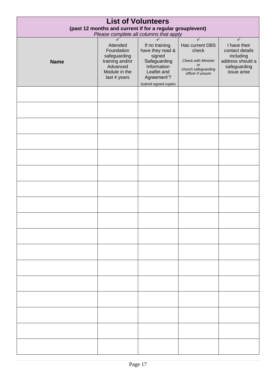| <b>List of Volunteers</b><br>(past 12 months and current if for a regular group/event)<br>Please complete all columns that apply |                                                                                                             |                                                                                                                                     |                                                                                                          |                                                                                                                 |  |  |  |  |  |
|----------------------------------------------------------------------------------------------------------------------------------|-------------------------------------------------------------------------------------------------------------|-------------------------------------------------------------------------------------------------------------------------------------|----------------------------------------------------------------------------------------------------------|-----------------------------------------------------------------------------------------------------------------|--|--|--|--|--|
| <b>Name</b>                                                                                                                      | ✓<br>Attended<br>Foundation<br>safeguarding<br>training and/or<br>Advanced<br>Module in the<br>last 4 years | If no training,<br>have they read &<br>signed<br>'Safeguarding<br>Information<br>Leaflet and<br>Agreement'?<br>Submit signed copies | Has current DBS<br>check<br><b>Check with Minister</b><br>or<br>church safeguarding<br>officer if unsure | $\checkmark$<br>I have their<br>contact details<br>including<br>address should a<br>safeguarding<br>issue arise |  |  |  |  |  |
|                                                                                                                                  |                                                                                                             |                                                                                                                                     |                                                                                                          |                                                                                                                 |  |  |  |  |  |
|                                                                                                                                  |                                                                                                             |                                                                                                                                     |                                                                                                          |                                                                                                                 |  |  |  |  |  |
|                                                                                                                                  |                                                                                                             |                                                                                                                                     |                                                                                                          |                                                                                                                 |  |  |  |  |  |
|                                                                                                                                  |                                                                                                             |                                                                                                                                     |                                                                                                          |                                                                                                                 |  |  |  |  |  |
|                                                                                                                                  |                                                                                                             |                                                                                                                                     |                                                                                                          |                                                                                                                 |  |  |  |  |  |
|                                                                                                                                  |                                                                                                             |                                                                                                                                     |                                                                                                          |                                                                                                                 |  |  |  |  |  |
|                                                                                                                                  |                                                                                                             |                                                                                                                                     |                                                                                                          |                                                                                                                 |  |  |  |  |  |
|                                                                                                                                  |                                                                                                             |                                                                                                                                     |                                                                                                          |                                                                                                                 |  |  |  |  |  |
|                                                                                                                                  |                                                                                                             |                                                                                                                                     |                                                                                                          |                                                                                                                 |  |  |  |  |  |
|                                                                                                                                  |                                                                                                             |                                                                                                                                     |                                                                                                          |                                                                                                                 |  |  |  |  |  |
|                                                                                                                                  |                                                                                                             |                                                                                                                                     |                                                                                                          |                                                                                                                 |  |  |  |  |  |
|                                                                                                                                  |                                                                                                             |                                                                                                                                     |                                                                                                          |                                                                                                                 |  |  |  |  |  |
|                                                                                                                                  |                                                                                                             |                                                                                                                                     |                                                                                                          |                                                                                                                 |  |  |  |  |  |
|                                                                                                                                  |                                                                                                             |                                                                                                                                     |                                                                                                          |                                                                                                                 |  |  |  |  |  |
|                                                                                                                                  |                                                                                                             |                                                                                                                                     |                                                                                                          |                                                                                                                 |  |  |  |  |  |
|                                                                                                                                  |                                                                                                             |                                                                                                                                     |                                                                                                          |                                                                                                                 |  |  |  |  |  |
|                                                                                                                                  |                                                                                                             |                                                                                                                                     |                                                                                                          |                                                                                                                 |  |  |  |  |  |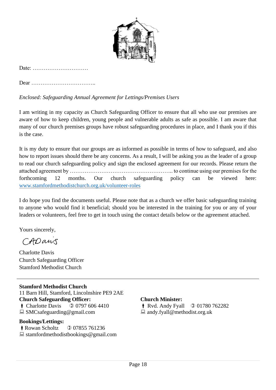

Date: …………………………

Dear ……………………………..

*Enclosed: Safeguarding Annual Agreement for Lettings/Premises Users*

I am writing in my capacity as Church Safeguarding Officer to ensure that all who use our premises are aware of how to keep children, young people and vulnerable adults as safe as possible. I am aware that many of our church premises groups have robust safeguarding procedures in place, and I thank you if this is the case.

It is my duty to ensure that our groups are as informed as possible in terms of how to safeguard, and also how to report issues should there be any concerns. As a result, I will be asking you as the leader of a group to read our church safeguarding policy and sign the enclosed agreement for our records. Please return the attached agreement by ……………………………………………….. to continue using our premises for the forthcoming 12 months. Our church safeguarding policy can be viewed here: [www.stamfordmethodistchurch.org.uk/volunteer-roles](http://www.stamfordmethodistchurch.org.uk/volunteer-roles)

I do hope you find the documents useful. Please note that as a church we offer basic safeguarding training to anyone who would find it beneficial; should you be interested in the training for you or any of your leaders or volunteers, feel free to get in touch using the contact details below or the agreement attached.

Yours sincerely,

CADans

Charlotte Davis Church Safeguarding Officer Stamford Methodist Church

**Stamford Methodist Church** 11 Barn Hill, Stamford, Lincolnshire PE9 2AE **Church Safeguarding Officer:**  $\bullet$  Charlotte Davis  $\circ$  0797 606 4410  $\Box$  SMCsafeguarding@gmail.com

#### **Bookings/Lettings:**

**Rowan Scholtz** 0 07855 761236  $\Box$  stamfordmethodistbookings@gmail.com

#### **Church Minister:**

 $\uparrow$  Rvd. Andy Fyall  $\circ$  01780 762282  $\Box$  andy.fyall@methodist.org.uk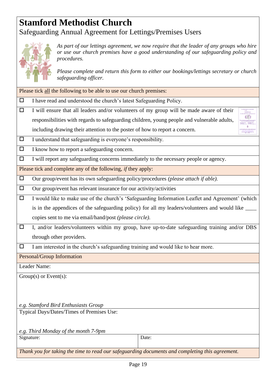## **Stamford Methodist Church** Safeguarding Annual Agreement for Lettings/Premises Users



*As part of our lettings agreement, we now require that the leader of any groups who hire or use our church premises have a good understanding of our safeguarding policy and procedures.*

*Please complete and return this form to either our bookings/lettings secretary or church safeguarding officer.*

Please tick all the following to be able to use our church premises:

- $\Box$  I have read and understood the church's latest Safeguarding Policy.
- $\Box$  I will ensure that all leaders and/or volunteers of my group will be made aware of their responsibilities with regards to safeguarding children, young people and vulnerable adults,

| De vou hous e pontre en nonnans shout-                                                                                                                                                                                                                                         |
|--------------------------------------------------------------------------------------------------------------------------------------------------------------------------------------------------------------------------------------------------------------------------------|
| <b>CARDON</b>                                                                                                                                                                                                                                                                  |
| <b>CONTRACTOR</b>                                                                                                                                                                                                                                                              |
| Localization of dr                                                                                                                                                                                                                                                             |
| who other to this charm has case the condition?                                                                                                                                                                                                                                |
|                                                                                                                                                                                                                                                                                |
| Please count and consistence experts on academy<br>So one of our finance extensions company.                                                                                                                                                                                   |
| <b><i>STERN STERNINGS</i></b><br>A MACHINERY WAS A CONTRACTOR FOR OUR                                                                                                                                                                                                          |
|                                                                                                                                                                                                                                                                                |
| <b>COUNTER OF REALIST COURS STUDIES VANDALISM CATTACTS</b><br>processes and in the test and it are selected the looks of the con-<br><b>MARY RECEIVED AND ARRESTS AND RESIDENCE</b><br>--------------<br>The university of short's collected to color in the<br>Mich. How they |

including drawing their attention to the poster of how to report a concern.

- $\Box$  I understand that safeguarding is everyone's responsibility.
- $\Box$  I know how to report a safeguarding concern.
- $\Box$  I will report any safeguarding concerns immediately to the necessary people or agency.

Please tick and complete any of the following, *if* they apply:

- Our group/event has its own safeguarding policy/procedures *(please attach if able).*
- $\Box$  Our group/event has relevant insurance for our activity/activities
- $\Box$  I would like to make use of the church's 'Safeguarding Information Leaflet and Agreement' (which is in the appendices of the safeguarding policy) for all my leaders/volunteers and would like copies sent to me via email/hand/post *(please circle).*
- $\Box$  I, and/or leaders/volunteers within my group, have up-to-date safeguarding training and/or DBS through other providers.

 $\Box$  I am interested in the church's safeguarding training and would like to hear more.

Personal/Group Information

Leader Name:

Group(s) or Event(s):

*e.g. Stamford Bird Enthusiasts Group*

Typical Days/Dates/Times of Premises Use:

*e.g. Third Monday of the month 7-9pm*

Signature: Date:

*Thank you for taking the time to read our safeguarding documents and completing this agreement.*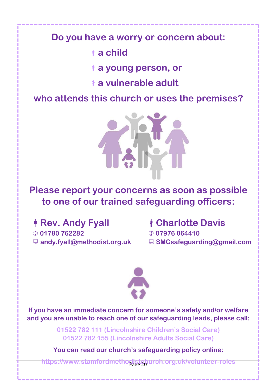## **Do you have a worry or concern about:**

# **a child**

**a young person, or**

**a vulnerable adult**

**who attends this church or uses the premises?**



# **Please report your concerns as soon as possible to one of our trained safeguarding officers:**

*Rev. Andy Fyall* 

 **01780 762282 andy.fyall@methodist.org.uk**

# **Charlotte Davis**

- **07976 064410**
- **SMCsafeguarding@gmail.com**



**If you have an immediate concern for someone's safety and/or welfare and you are unable to reach one of our safeguarding leads, please call:** 

> **01522 782 111 (Lincolnshire Children's Social Care) 01522 782 155 (Lincolnshire Adults Social Care)**

**You can read our church's safeguarding policy online:**

Page 20 **https://www.stamfordmethodistchurch.org.uk/volunteer-roles**